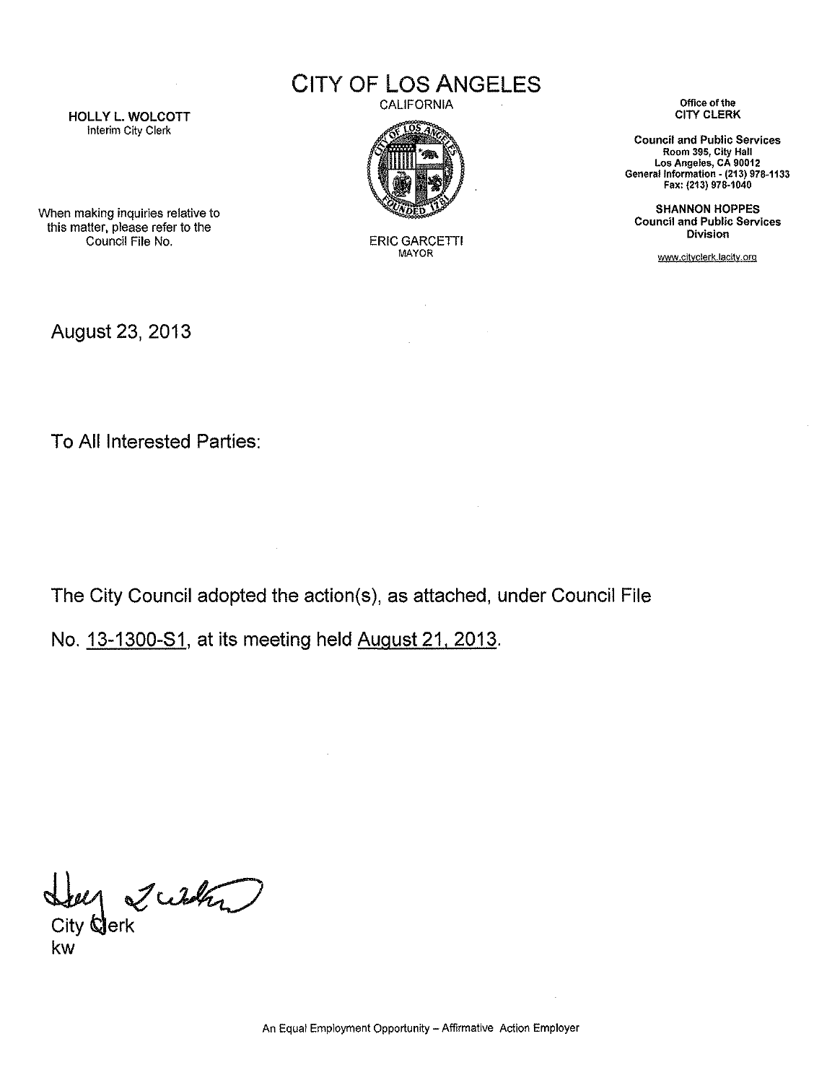CITY **OF** LOS **ANGELES**



ERIC GARCETTI MAYOR

 $\mathcal{L}_{\mathrm{eff}}$ 

CALIFORNIA **Office of the**

**Council and Public Services Room 395, City Hall Los Angeles, CA 90012** General Information - **(213) 978-1133** Fax: (213) 978·1040

SHANNON HOPPES **Council and Public Services Division**

www.cityclerk.lacity.org

HOLLY L. WOLCOTT There in the client of the Clerk Interim City Clerk

When making inquiries relative to this matter, please refer to the

August 23,2013

To All Interested Parties:

The City Council adopted the action(s), as attached, under Council File

 $\mathcal{L}$ 

No. 13-1300-81, at its meeting held August 21,2013.

 $\sim$ 

Derk Wilden

kw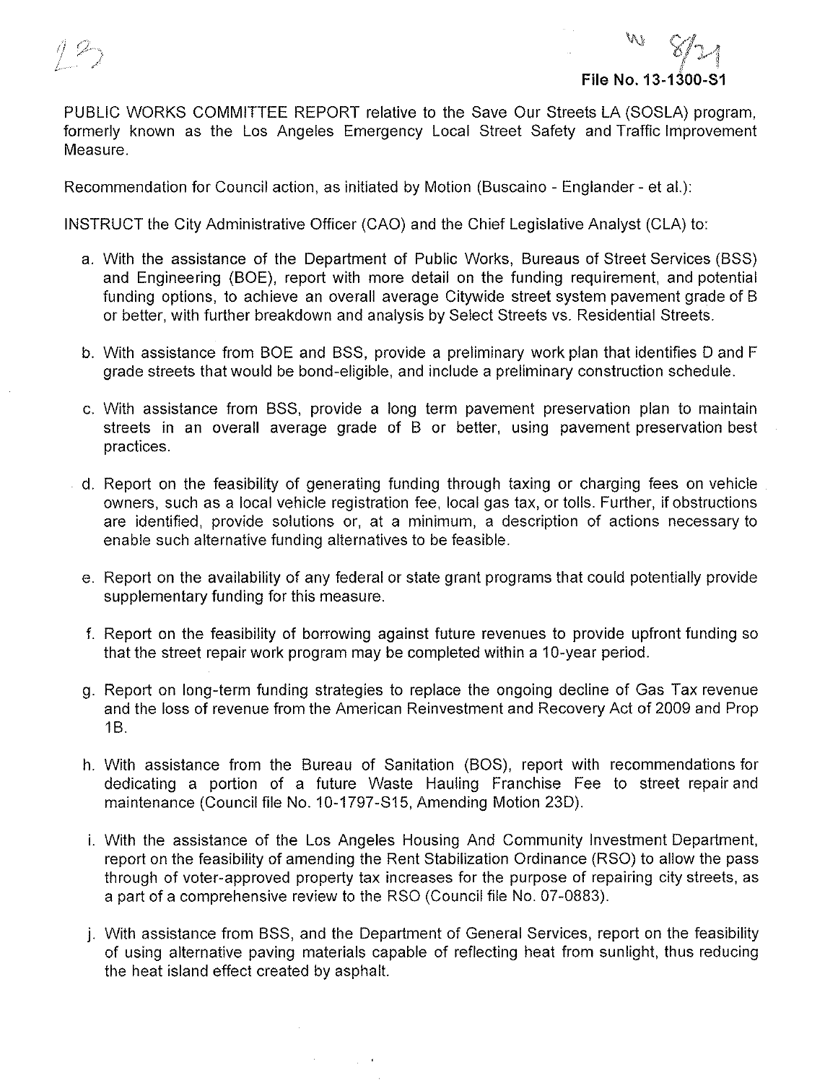

PUBLIC WORKS COMMITTEE REPORT relative to **the** Save Our Streets LA (SOSLA) program, formerly known as the Los Angeles Emergency Local Street Safety and Traffic Improvement Measure.

Recommendation for Council action, as initiated by Motion (Buscaino - Englander - et al.):

INSTRUCT the City Administrative Officer (CAO) and the Chief Legislative Analyst (CLA) to:

- a. With the assistance of the Department of Public Works, Bureaus of Street Services (BSS) and Engineering (BOE), report with more detail on the funding requirement, and potential funding options, to achieve an overall average Citywide street system pavement grade of B or better, with further breakdown and analysis by Select Streets vs. Residential Streets.
- b. With assistance from BOE and BSS, provide a preliminary work plan that identifies D and F grade streets that would be bond-eligible, and include a preliminary construction schedule.
- c. With assistance from BSS, provide a long term pavement preservation plan to maintain streets in an overall average grade of B or better, using pavement preservation best practices.
- d. Report on the feasibility of generating funding through taxing or charging fees on vehicle owners, such as a local vehicle registration fee, local gas tax, or tolls. Further, if obstructions are identified, provide solutions or, at a minimum, a description of actions necessary to enable such alternative funding alternatives to be feasible.
- e. Report on the availability of any federal or state grant programs that could potentially provide supplementary funding for this measure.
- f. Report on the feasibility of borrowing against future revenues to provide upfront funding so that the street repair work program may be completed within a 10-year period.
- g. Report on long-term funding strategies to replace the ongoing decline of Gas Tax revenue and the loss of revenue from the American Reinvestment and Recovery Act of 2009 and Prop 1B.
- h. With assistance from the Bureau of Sanitation (BOS), report with recommendations for dedicating a portion of a future Waste Hauling Franchise Fee to street repair and maintenance (Council file No. 10-1797-S15, Amending Motion 23D).
- i. With the assistance of the Los Angeles Housing And Community Investment Department, report on the feasibility of amending the Rent Stabilization Ordinance (RSO) to allow the pass through of voter-approved property tax increases for the purpose of repairing city streets, as a part of a comprehensive review to the RSO (Council file No. 07-0883).
- j. With assistance from BSS, and the Department of General Services, report on the feasibility of using alternative paving materials capable of reflecting heat from sunlight, thus reducing the heat island effect created by asphalt.

 $\Delta \sim 10$ 

 $\sim 10^{-12}$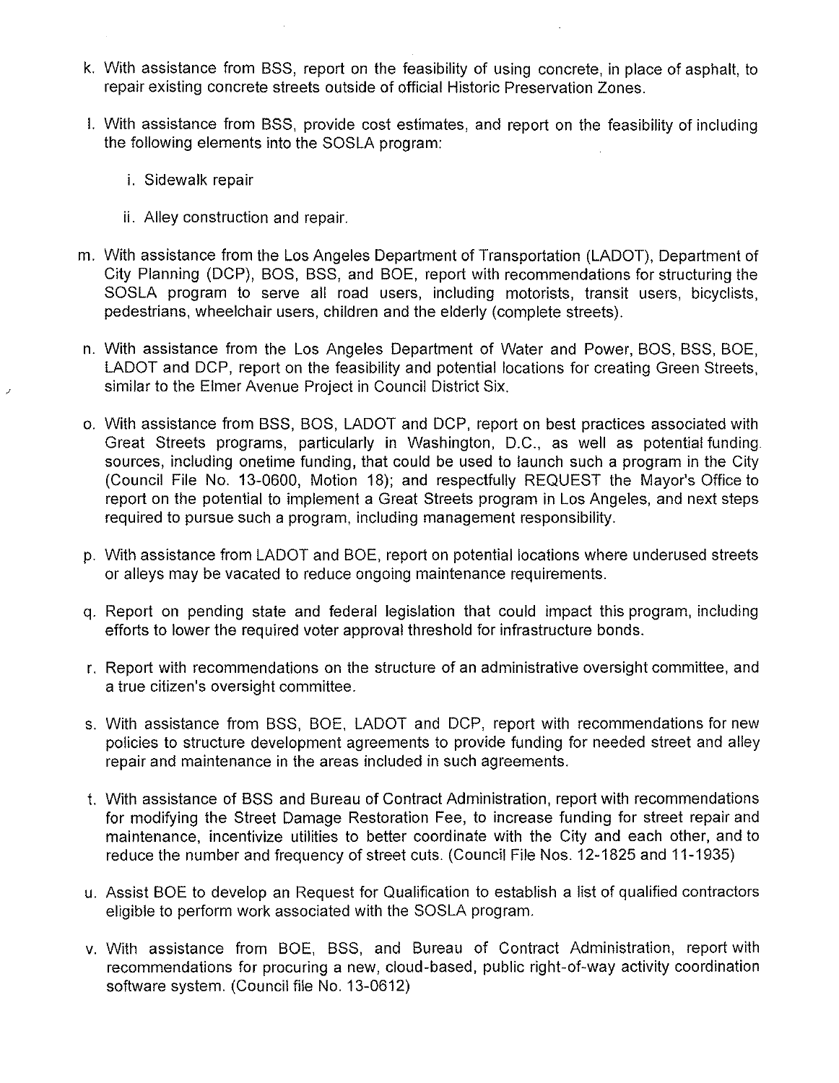- k. With assistance from BSS, report on the feasibility of using concrete, in place of asphalt, to repair existing concrete streets outside of official Historic Preservation Zones.
- I. With assistance from BSS, provide cost estimates, and report on the feasibility of including the following elements into the SOSLA program:
	- i. Sidewalk repair
	- ii. Alley construction and repair.
- m. With assistance from the Los Angeles Department of Transportation (LADOT), Department of City Planning (DCP), BOS, BSS, and BOE, report with recommendations for structuring the SOSLA program to serve all road users, including motorists, transit users, bicyclists, pedestrians, wheelchair users, children and the elderly (complete streets).
- n. With assistance from the Los Angeles Department of Water and Power, BOS, BSS, BOE, LADOT and DCP, report on the feasibility and potential locations for creating Green Streets, similar to the Elmer Avenue Project in Council District Six.
- o. With assistance from BSS, BOS, LADOT and DCP, report on best practices associated with Great Streets programs, particularly in Washington, D.C., as well as potential funding sources, including onetime funding, that could be used to launch such a program in the City (Council File No. 13-0600, Motion 18); and respectfully REQUEST the Mayor's Office to report on the potential to implement a Great Streets program in Los Angeles, and next steps required to pursue such a program, including management responsibility.
- p. With assistance from LADOT and BOE, report on potential locations where underused streets or alleys may be vacated to reduce ongoing maintenance requirements.
- q. Report on pending state and federal legislation that could impact this program, including efforts to lower the required voter approval threshold for infrastructure bonds.
- r. Report with recommendations on the structure of an administrative oversight committee, and a true citizen's oversight committee.
- s. With assistance from BSS, BOE, LADOT and DCP, report with recommendations for new policies to structure development agreements to provide funding for needed street and alley repair and maintenance in the areas included **in** such agreements.
- t. With assistance of BSS and Bureau of Contract Administration, report with recommendations for modifying the Street Damage Restoration Fee, to increase funding for street repair and maintenance, incentivize utilities to better coordinate with the City and each other, and to reduce the number and frequency of street cuts. (Council File Nos. 12-1825 and 11-1935)
- u. Assist BOE to develop an Request for Qualification to establish a list of qualified contractors eligible to perform work associated with the SOSLA program.
- v. With assistance from BOE, BSS, and Bureau of Contract Administration, report with recommendations for procuring a new, cloud-based, public right-of-way activity coordination software system. (Council file No. 13-0612)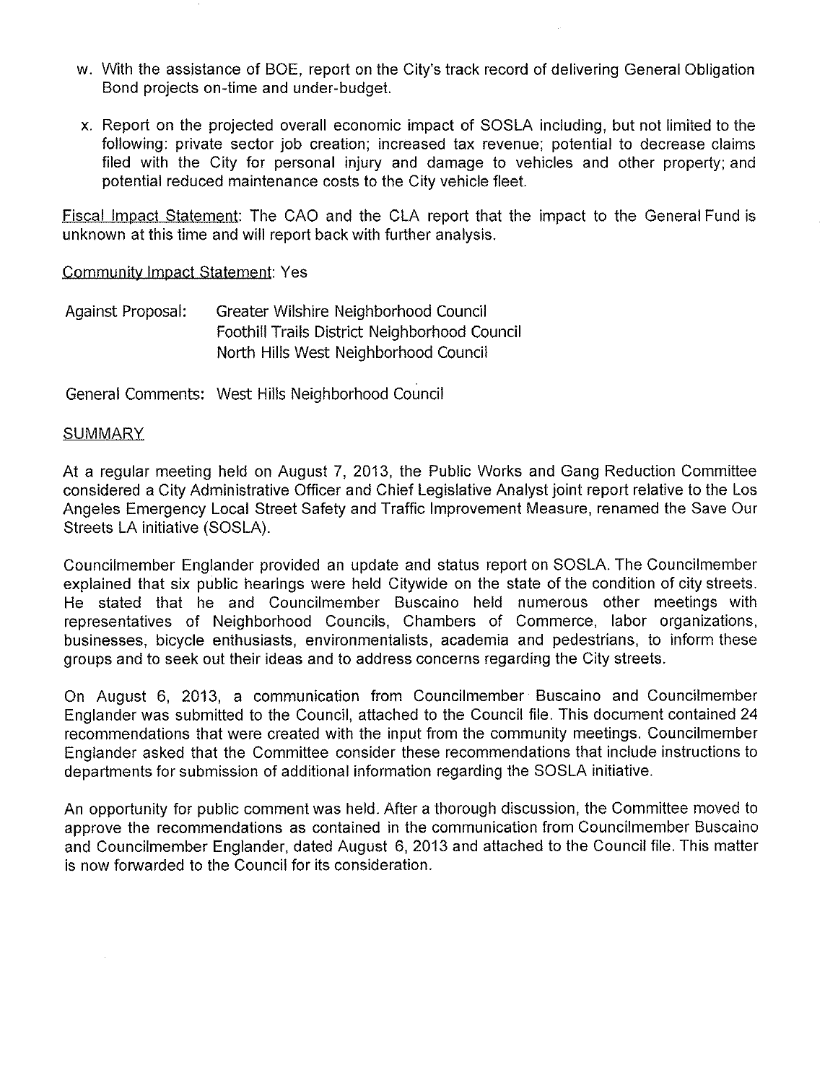- w. With the assistance of BOE, report on the City's track record of delivering General Obligation Bond projects on-time and under-budget.
- x. Report on the projected overall economic impact of SOSLA including, but not limited to the following: private sector job creation; increased tax revenue; potential to decrease claims filed with the City for personal injury and damage to vehicles and other property; and potential reduced maintenance costs to the City vehicle fleet.

Fiscal Impact Statement: The CAO and the CLA report that the impact to the General Fund is unknown at this time and will report back with further analysis.

Community Impact Statement: Yes

Against Proposal: Greater Wilshire Neighborhood Council Foothill Trails District Neighborhood Council North Hills West Neighborhood Council

General Comments: West Hills Neighborhood Council

## **SUMMARY**

At a regular meeting held on August 7, 2013, the Public Works and Gang Reduction Committee considered a City Administrative Officer and Chief Legislative Analyst joint report relative to the Los Angeles Emergency Local Street Safety and Traffic Improvement Measure, renamed the Save Our Streets LA initiative (SOSLA).

Councilmember Englander provided an update and status report on SOSLA. The Councilmember explained that six public hearings were held Citywide on the state of the condition of city streets. He stated that he and Councilmember Buscaino held numerous other meetings with representatives of Neighborhood Councils, Chambers of Commerce, labor organizations, businesses, bicycle enthusiasts, environmentalists, academia and pedestrians, to inform these groups and to seek out their ideas and to address concerns regarding the City streets.

On August 6, 2013, a communication from Councilmember Buscaino and Councilmember Englander was submitted to the Council, attached to the Council file. This document contained 24 recommendations that were created with the input from the community meetings. Councilmember Englander asked that the Committee consider these recommendations that include instructions to departments for submission of additional information regarding the SOSLA initiative.

An opportunity for public comment was held. After a thorough discussion, the Committee moved to approve the recommendations as contained in the communication from Councilmember Buscaino and Councilmember Englander, dated August 6, 2013 and attached to the Council file. This matter is now forwarded to the Council for its consideration.